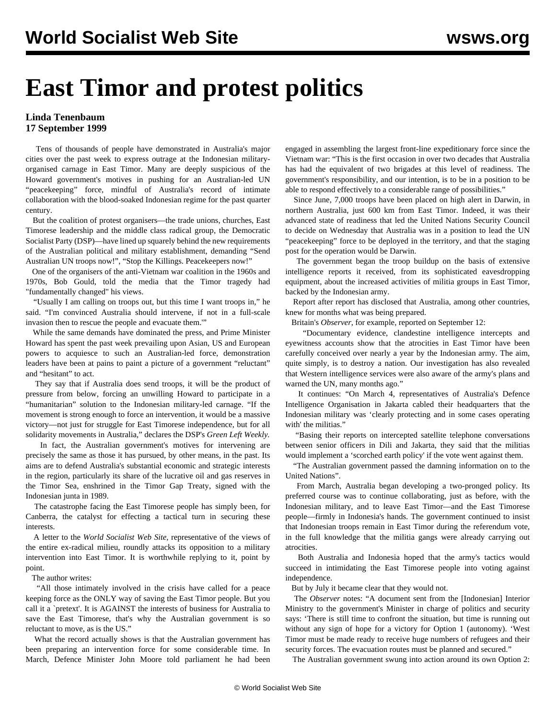## **East Timor and protest politics**

## **Linda Tenenbaum 17 September 1999**

 Tens of thousands of people have demonstrated in Australia's major cities over the past week to express outrage at the Indonesian militaryorganised carnage in East Timor. Many are deeply suspicious of the Howard government's motives in pushing for an Australian-led UN "peacekeeping" force, mindful of Australia's record of intimate collaboration with the blood-soaked Indonesian regime for the past quarter century.

 But the coalition of protest organisers—the trade unions, churches, East Timorese leadership and the middle class radical group, the Democratic Socialist Party (DSP)—have lined up squarely behind the new requirements of the Australian political and military establishment, demanding "Send Australian UN troops now!", "Stop the Killings. Peacekeepers now!"

 One of the organisers of the anti-Vietnam war coalition in the 1960s and 1970s, Bob Gould, told the media that the Timor tragedy had "fundamentally changed" his views.

 "Usually I am calling on troops out, but this time I want troops in," he said. "I'm convinced Australia should intervene, if not in a full-scale invasion then to rescue the people and evacuate them.'"

 While the same demands have dominated the press, and Prime Minister Howard has spent the past week prevailing upon Asian, US and European powers to acquiesce to such an Australian-led force, demonstration leaders have been at pains to paint a picture of a government "reluctant" and "hesitant" to act.

 They say that if Australia does send troops, it will be the product of pressure from below, forcing an unwilling Howard to participate in a "humanitarian" solution to the Indonesian military-led carnage. "If the movement is strong enough to force an intervention, it would be a massive victory—not just for struggle for East Timorese independence, but for all solidarity movements in Australia," declares the DSP's *Green Left Weekly.*

 In fact, the Australian government's motives for intervening are precisely the same as those it has pursued, by other means, in the past. Its aims are to defend Australia's substantial economic and strategic interests in the region, particularly its share of the lucrative oil and gas reserves in the Timor Sea, enshrined in the Timor Gap Treaty, signed with the Indonesian junta in 1989.

 The catastrophe facing the East Timorese people has simply been, for Canberra, the catalyst for effecting a tactical turn in securing these interests.

 A letter to the *World Socialist Web Site*, representative of the views of the entire ex-radical milieu, roundly attacks its opposition to a military intervention into East Timor. It is worthwhile replying to it, point by point.

The author writes:

 "All those intimately involved in the crisis have called for a peace keeping force as the ONLY way of saving the East Timor people. But you call it a `pretext'. It is AGAINST the interests of business for Australia to save the East Timorese, that's why the Australian government is so reluctant to move, as is the US."

 What the record actually shows is that the Australian government has been preparing an intervention force for some considerable time. In March, Defence Minister John Moore told parliament he had been engaged in assembling the largest front-line expeditionary force since the Vietnam war: "This is the first occasion in over two decades that Australia has had the equivalent of two brigades at this level of readiness. The government's responsibility, and our intention, is to be in a position to be able to respond effectively to a considerable range of possibilities."

 Since June, 7,000 troops have been placed on high alert in Darwin, in northern Australia, just 600 km from East Timor. Indeed, it was their advanced state of readiness that led the United Nations Security Council to decide on Wednesday that Australia was in a position to lead the UN "peacekeeping" force to be deployed in the territory, and that the staging post for the operation would be Darwin.

 The government began the troop buildup on the basis of extensive intelligence reports it received, from its sophisticated eavesdropping equipment, about the increased activities of militia groups in East Timor, backed by the Indonesian army.

 Report after report has disclosed that Australia, among other countries, knew for months what was being prepared.

Britain's *Observer*, for example, reported on September 12:

 "Documentary evidence, clandestine intelligence intercepts and eyewitness accounts show that the atrocities in East Timor have been carefully conceived over nearly a year by the Indonesian army. The aim, quite simply, is to destroy a nation. Our investigation has also revealed that Western intelligence services were also aware of the army's plans and warned the UN, many months ago."

 It continues: "On March 4, representatives of Australia's Defence Intelligence Organisation in Jakarta cabled their headquarters that the Indonesian military was 'clearly protecting and in some cases operating with' the militias."

 "Basing their reports on intercepted satellite telephone conversations between senior officers in Dili and Jakarta, they said that the militias would implement a 'scorched earth policy' if the vote went against them.

 "The Australian government passed the damning information on to the United Nations".

 From March, Australia began developing a two-pronged policy. Its preferred course was to continue collaborating, just as before, with the Indonesian military, and to leave East Timor—and the East Timorese people—firmly in Indonesia's hands. The government continued to insist that Indonesian troops remain in East Timor during the referendum vote, in the full knowledge that the militia gangs were already carrying out atrocities.

 Both Australia and Indonesia hoped that the army's tactics would succeed in intimidating the East Timorese people into voting against independence.

But by July it became clear that they would not.

 The *Observer* notes: "A document sent from the [Indonesian] Interior Ministry to the government's Minister in charge of politics and security says: 'There is still time to confront the situation, but time is running out without any sign of hope for a victory for Option 1 (autonomy). 'West Timor must be made ready to receive huge numbers of refugees and their security forces. The evacuation routes must be planned and secured."

The Australian government swung into action around its own Option 2: